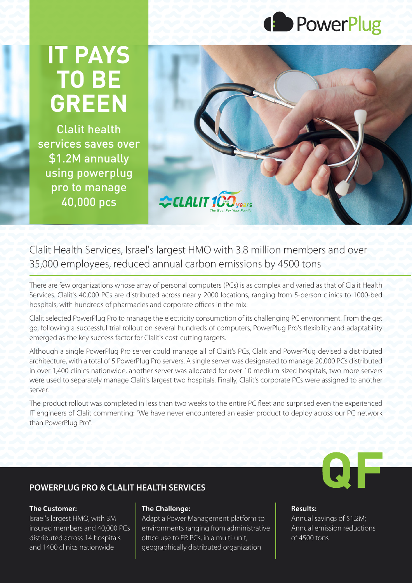

## **IT PAYS TO BE GREEN**

**Clalit health** services saves over \$1.2M annually using powerplug pro to manage 40,000 pcs



Clalit Health Services, Israel's largest HMO with 3.8 million members and over 35,000 employees, reduced annual carbon emissions by 4500 tons

There are few organizations whose array of personal computers (PCs) is as complex and varied as that of Clalit Health Services. Clalit's 40,000 PCs are distributed across nearly 2000 locations, ranging from 5-person clinics to 1000-bed hospitals, with hundreds of pharmacies and corporate offices in the mix.

Clalit selected PowerPlug Pro to manage the electricity consumption of its challenging PC environment. From the get go, following a successful trial rollout on several hundreds of computers, PowerPlug Pro's flexibility and adaptability emerged as the key success factor for Clalit's cost-cutting targets.

Although a single PowerPlug Pro server could manage all of Clalit's PCs, Clalit and PowerPlug devised a distributed architecture, with a total of 5 PowerPlug Pro servers. A single server was designated to manage 20,000 PCs distributed in over 1,400 clinics nationwide, another server was allocated for over 10 medium-sized hospitals, two more servers were used to separately manage Clalit's largest two hospitals. Finally, Clalit's corporate PCs were assigned to another server.

The product rollout was completed in less than two weeks to the entire PC fleet and surprised even the experienced IT engineers of Clalit commenting: "We have never encountered an easier product to deploy across our PC network than PowerPlug Pro".

## **POWERPLUG PRO & CLALIT HEALTH SERVICES**

#### **The Customer:**

Israel's largest HMO, with 3M  $\overline{P}$  insured members and 40,000 PCs distributed across 14 hospitals and 1400 clinics nationwide

#### **The Challenge:**

Adapt a Power Management platform to environments ranging from administrative office use to ER PCs, in a multi-unit, geographically distributed organization



#### **:Results**

Annual savings of \$1.2M; Annual emission reductions of 4500 tons